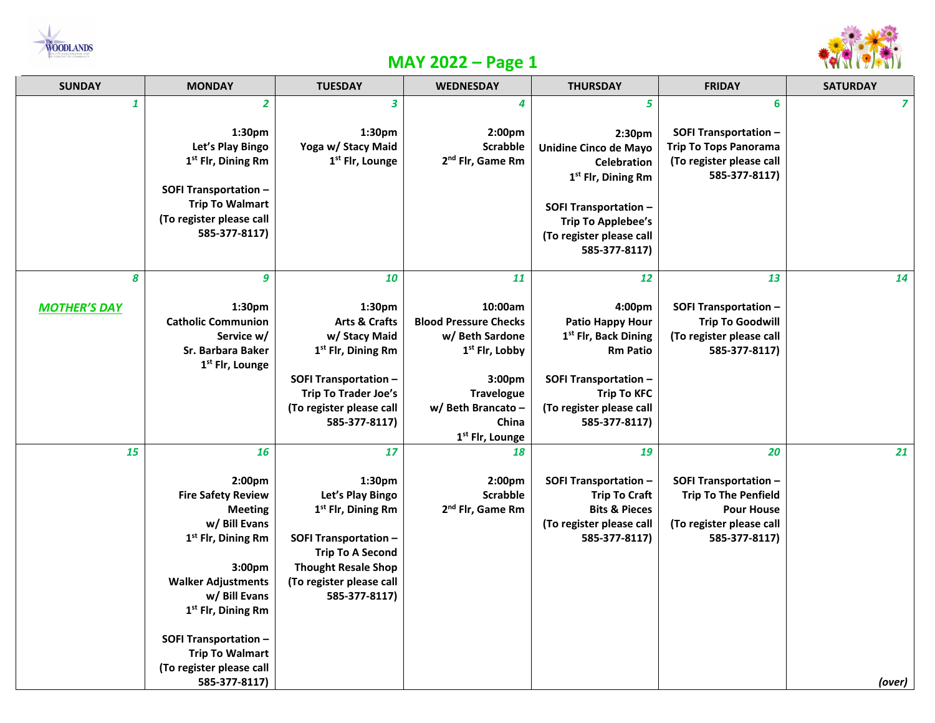



## **MAY 2022 – Page 1**

| <b>SUNDAY</b>            | <b>MONDAY</b>                                                                                                                                                                                                                                                                                                   | <b>TUESDAY</b>                                                                                                                                                                                           | <b>WEDNESDAY</b>                                                                                                                                                                            | <b>THURSDAY</b>                                                                                                                                                                                   | <b>FRIDAY</b>                                                                                                                       | <b>SATURDAY</b>         |
|--------------------------|-----------------------------------------------------------------------------------------------------------------------------------------------------------------------------------------------------------------------------------------------------------------------------------------------------------------|----------------------------------------------------------------------------------------------------------------------------------------------------------------------------------------------------------|---------------------------------------------------------------------------------------------------------------------------------------------------------------------------------------------|---------------------------------------------------------------------------------------------------------------------------------------------------------------------------------------------------|-------------------------------------------------------------------------------------------------------------------------------------|-------------------------|
| $\mathbf{1}$             | $\overline{2}$                                                                                                                                                                                                                                                                                                  | $\overline{\mathbf{3}}$                                                                                                                                                                                  | 4                                                                                                                                                                                           | 5                                                                                                                                                                                                 | 6                                                                                                                                   | $\overline{\mathbf{z}}$ |
|                          | 1:30 <sub>pm</sub><br>Let's Play Bingo<br>1 <sup>st</sup> Flr, Dining Rm<br><b>SOFI Transportation -</b><br><b>Trip To Walmart</b><br>(To register please call<br>585-377-8117)                                                                                                                                 | 1:30 <sub>pm</sub><br>Yoga w/ Stacy Maid<br>1 <sup>st</sup> Flr, Lounge                                                                                                                                  | 2:00pm<br><b>Scrabble</b><br>2 <sup>nd</sup> Flr, Game Rm                                                                                                                                   | 2:30pm<br>Unidine Cinco de Mayo<br><b>Celebration</b><br>1 <sup>st</sup> Flr, Dining Rm<br><b>SOFI Transportation -</b><br><b>Trip To Applebee's</b><br>(To register please call<br>585-377-8117) | <b>SOFI Transportation -</b><br><b>Trip To Tops Panorama</b><br>(To register please call<br>585-377-8117)                           |                         |
| 8<br><b>MOTHER'S DAY</b> | 9<br>1:30pm<br><b>Catholic Communion</b><br>Service w/<br>Sr. Barbara Baker<br>1 <sup>st</sup> Flr, Lounge                                                                                                                                                                                                      | 10<br>1:30pm<br><b>Arts &amp; Crafts</b><br>w/ Stacy Maid<br>1 <sup>st</sup> Flr, Dining Rm<br><b>SOFI Transportation -</b><br><b>Trip To Trader Joe's</b><br>(To register please call<br>585-377-8117)  | 11<br>10:00am<br><b>Blood Pressure Checks</b><br>w/ Beth Sardone<br>1 <sup>st</sup> Flr, Lobby<br>3:00pm<br><b>Travelogue</b><br>w/ Beth Brancato -<br>China<br>1 <sup>st</sup> Flr, Lounge | 12<br>4:00pm<br><b>Patio Happy Hour</b><br>1 <sup>st</sup> Flr, Back Dining<br><b>Rm Patio</b><br><b>SOFI Transportation -</b><br><b>Trip To KFC</b><br>(To register please call<br>585-377-8117) | 13<br><b>SOFI Transportation -</b><br><b>Trip To Goodwill</b><br>(To register please call<br>585-377-8117)                          | 14                      |
| 15                       | 16<br>2:00pm<br><b>Fire Safety Review</b><br><b>Meeting</b><br>w/ Bill Evans<br>1 <sup>st</sup> Flr, Dining Rm<br>3:00pm<br><b>Walker Adjustments</b><br>w/ Bill Evans<br>1 <sup>st</sup> Flr, Dining Rm<br><b>SOFI Transportation -</b><br><b>Trip To Walmart</b><br>(To register please call<br>585-377-8117) | 17<br>1:30pm<br>Let's Play Bingo<br>1 <sup>st</sup> Flr, Dining Rm<br><b>SOFI Transportation -</b><br><b>Trip To A Second</b><br><b>Thought Resale Shop</b><br>(To register please call<br>585-377-8117) | 18<br>2:00pm<br><b>Scrabble</b><br>2 <sup>nd</sup> Flr, Game Rm                                                                                                                             | 19<br><b>SOFI Transportation -</b><br><b>Trip To Craft</b><br><b>Bits &amp; Pieces</b><br>(To register please call<br>585-377-8117)                                                               | 20<br><b>SOFI Transportation -</b><br><b>Trip To The Penfield</b><br><b>Pour House</b><br>(To register please call<br>585-377-8117) | 21<br>(over)            |